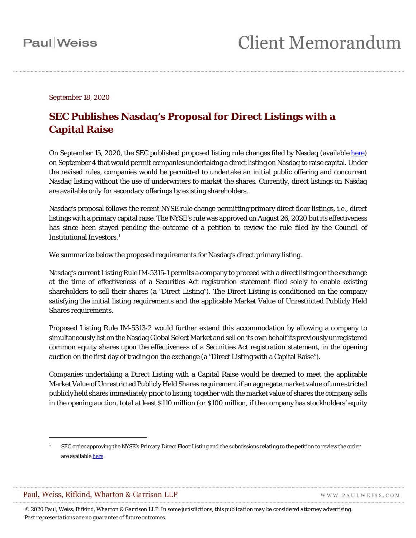September 18, 2020

#### **SEC Publishes Nasdaq's Proposal for Direct Listings with a Capital Raise**

On September 15, 2020, the SEC published proposed listing rule changes filed by Nasdaq (available [here\)](https://www.sec.gov/rules/sro/nasdaq/2020/34-89878.pdf) on September 4 that would permit companies undertaking a direct listing on Nasdaq to raise capital. Under the revised rules, companies would be permitted to undertake an initial public offering and concurrent Nasdaq listing without the use of underwriters to market the shares. Currently, direct listings on Nasdaq are available only for secondary offerings by existing shareholders.

Nasdaq's proposal follows the recent NYSE rule change permitting primary direct floor listings, *i.*e., direct listings with a primary capital raise. The NYSE's rule was approved on August 26, 2020 but its effectiveness has since been stayed pending the outcome of a petition to review the rule filed by the Council of Institutional Investors.<sup>[1](#page-0-0)</sup>

We summarize below the proposed requirements for Nasdaq's direct primary listing.

Nasdaq's current Listing Rule IM-5315-1 permits a company to proceed with a direct listing on the exchange at the time of effectiveness of a Securities Act registration statement filed solely to enable existing shareholders to sell their shares (a "Direct Listing"). The Direct Listing is conditioned on the company satisfying the initial listing requirements and the applicable Market Value of Unrestricted Publicly Held Shares requirements.

Proposed Listing Rule IM-5313-2 would further extend this accommodation by allowing a company to simultaneously list on the Nasdaq Global Select Market and sell on its own behalf its previously unregistered common equity shares upon the effectiveness of a Securities Act registration statement, in the opening auction on the first day of trading on the exchange (a "Direct Listing with a Capital Raise").

Companies undertaking a Direct Listing with a Capital Raise would be deemed to meet the applicable Market Value of Unrestricted Publicly Held Shares requirement if an aggregate market value of unrestricted publicly held shares immediately prior to listing, together with the market value of shares the company sells in the opening auction, total at least \$110 million (or \$100 million, if the company has stockholders' equity

 $\overline{a}$ 

WWW.PAULWEISS.COM

<span id="page-0-0"></span><sup>1</sup> SEC order approving the NYSE's Primary Direct Floor Listing and the submissions relating to the petition to review the order are availabl[e here.](https://www.sec.gov/rules/sro/nyse/nysearchive/nysearchive2019.htm#SR-NYSE-2019-67)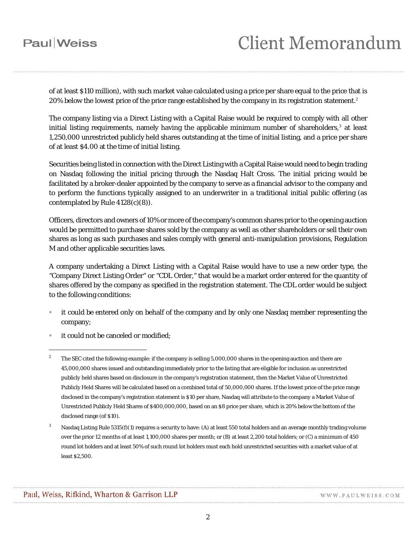#### **Paul** Weiss

# **Client Memorandum**

of at least \$110 million), with such market value calculated using a price per share equal to the price that is [2](#page-1-0)0% below the lowest price of the price range established by the company in its registration statement.<sup>2</sup>

The company listing via a Direct Listing with a Capital Raise would be required to comply with all other initial listing requirements, namely having the applicable minimum number of shareholders,  $\frac{3}{2}$  $\frac{3}{2}$  $\frac{3}{2}$  at least 1,250,000 unrestricted publicly held shares outstanding at the time of initial listing, and a price per share of at least \$4.00 at the time of initial listing.

Securities being listed in connection with the Direct Listing with a Capital Raise would need to begin trading on Nasdaq following the initial pricing through the Nasdaq Halt Cross. The initial pricing would be facilitated by a broker-dealer appointed by the company to serve as a financial advisor to the company and to perform the functions typically assigned to an underwriter in a traditional initial public offering (as contemplated by Rule 4128(c)(8)).

Officers, directors and owners of 10% or more of the company's common shares prior to the opening auction would be permitted to purchase shares sold by the company as well as other shareholders or sell their own shares as long as such purchases and sales comply with general anti-manipulation provisions, Regulation M and other applicable securities laws.

A company undertaking a Direct Listing with a Capital Raise would have to use a new order type, the "Company Direct Listing Order" or "CDL Order," that would be a market order entered for the quantity of shares offered by the company as specified in the registration statement. The CDL order would be subject to the following conditions:

- it could be entered only on behalf of the company and by only one Nasdaq member representing the company;
- it could not be canceled or modified;

 $\overline{a}$ 

<span id="page-1-0"></span><sup>2</sup> The SEC cited the following example: if the company is selling 5,000,000 shares in the opening auction and there are 45,000,000 shares issued and outstanding immediately prior to the listing that are eligible for inclusion as unrestricted publicly held shares based on disclosure in the company's registration statement, then the Market Value of Unrestricted Publicly Held Shares will be calculated based on a combined total of 50,000,000 shares. If the lowest price of the price range disclosed in the company's registration statement is \$10 per share, Nasdaq will attribute to the company a Market Value of Unrestricted Publicly Held Shares of \$400,000,000, based on an \$8 price per share, which is 20% below the bottom of the disclosed range (of \$10).

<span id="page-1-1"></span>Nasdaq Listing Rule 5315(f)(1) requires a security to have: (A) at least 550 total holders and an average monthly trading volume over the prior 12 months of at least 1,100,000 shares per month; or (B) at least 2,200 total holders; or (C) a minimum of 450 round lot holders and at least 50% of such round lot holders must each hold unrestricted securities with a market value of at least \$2,500.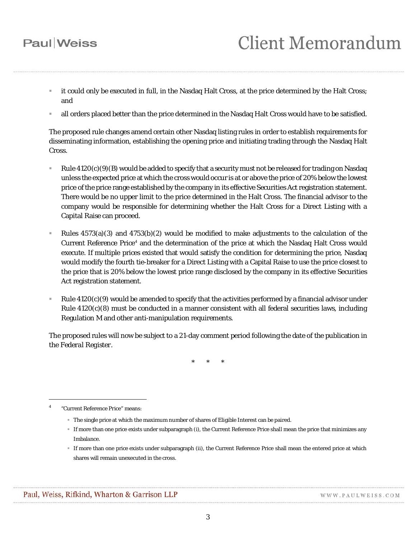### **Paul** Weiss

- it could only be executed in full, in the Nasdaq Halt Cross, at the price determined by the Halt Cross; and
- all orders placed better than the price determined in the Nasdaq Halt Cross would have to be satisfied.

The proposed rule changes amend certain other Nasdaq listing rules in order to establish requirements for disseminating information, establishing the opening price and initiating trading through the Nasdaq Halt Cross.

- Rule  $4120(c)(9)(B)$  would be added to specify that a security must not be released for trading on Nasdaq unless the expected price at which the cross would occur is at or above the price of 20% below the lowest price of the price range established by the company in its effective Securities Act registration statement. There would be no upper limit to the price determined in the Halt Cross. The financial advisor to the company would be responsible for determining whether the Halt Cross for a Direct Listing with a Capital Raise can proceed.
- Rules 4573(a)(3) and 4753(b)(2) would be modified to make adjustments to the calculation of the Current Reference Price<sup>[4](#page-2-0)</sup> and the determination of the price at which the Nasdaq Halt Cross would execute. If multiple prices existed that would satisfy the condition for determining the price, Nasdaq would modify the fourth tie-breaker for a Direct Listing with a Capital Raise to use the price closest to the price that is 20% below the lowest price range disclosed by the company in its effective Securities Act registration statement.
- Rule  $4120(c)(9)$  would be amended to specify that the activities performed by a financial advisor under Rule  $4120(c)(8)$  must be conducted in a manner consistent with all federal securities laws, including Regulation M and other anti-manipulation requirements.

The proposed rules will now be subject to a 21-day comment period following the date of the publication in the *Federal Register*.

\* \* \*

 $\overline{a}$ 

- The single price at which the maximum number of shares of Eligible Interest can be paired.
- If more than one price exists under subparagraph (i), the Current Reference Price shall mean the price that minimizes any Imbalance.
- If more than one price exists under subparagraph (ii), the Current Reference Price shall mean the entered price at which shares will remain unexecuted in the cross.

<span id="page-2-0"></span><sup>4</sup> "Current Reference Price" means: